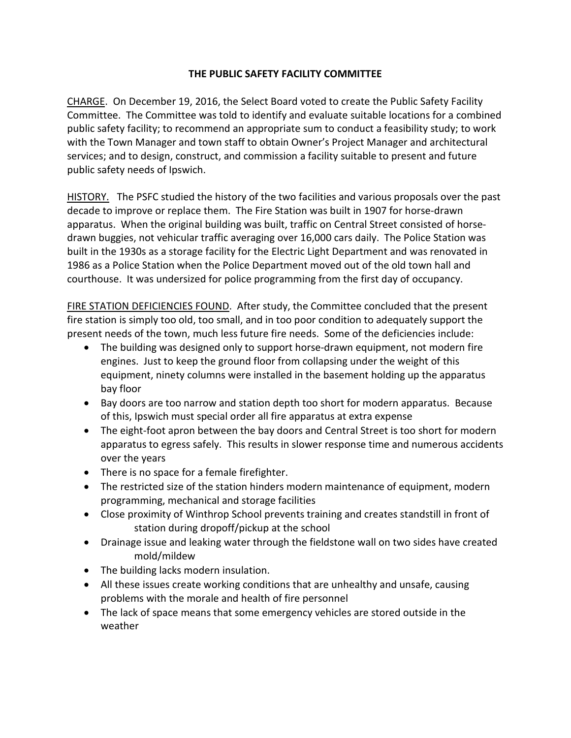## **THE PUBLIC SAFETY FACILITY COMMITTEE**

CHARGE. On December 19, 2016, the Select Board voted to create the Public Safety Facility Committee. The Committee was told to identify and evaluate suitable locations for a combined public safety facility; to recommend an appropriate sum to conduct a feasibility study; to work with the Town Manager and town staff to obtain Owner's Project Manager and architectural services; and to design, construct, and commission a facility suitable to present and future public safety needs of Ipswich.

HISTORY. The PSFC studied the history of the two facilities and various proposals over the past decade to improve or replace them. The Fire Station was built in 1907 for horse-drawn apparatus. When the original building was built, traffic on Central Street consisted of horsedrawn buggies, not vehicular traffic averaging over 16,000 cars daily. The Police Station was built in the 1930s as a storage facility for the Electric Light Department and was renovated in 1986 as a Police Station when the Police Department moved out of the old town hall and courthouse. It was undersized for police programming from the first day of occupancy.

FIRE STATION DEFICIENCIES FOUND. After study, the Committee concluded that the present fire station is simply too old, too small, and in too poor condition to adequately support the present needs of the town, much less future fire needs. Some of the deficiencies include:

- The building was designed only to support horse-drawn equipment, not modern fire engines. Just to keep the ground floor from collapsing under the weight of this equipment, ninety columns were installed in the basement holding up the apparatus bay floor
- Bay doors are too narrow and station depth too short for modern apparatus. Because of this, Ipswich must special order all fire apparatus at extra expense
- The eight-foot apron between the bay doors and Central Street is too short for modern apparatus to egress safely. This results in slower response time and numerous accidents over the years
- There is no space for a female firefighter.
- The restricted size of the station hinders modern maintenance of equipment, modern programming, mechanical and storage facilities
- Close proximity of Winthrop School prevents training and creates standstill in front of station during dropoff/pickup at the school
- Drainage issue and leaking water through the fieldstone wall on two sides have created mold/mildew
- The building lacks modern insulation.
- All these issues create working conditions that are unhealthy and unsafe, causing problems with the morale and health of fire personnel
- The lack of space means that some emergency vehicles are stored outside in the weather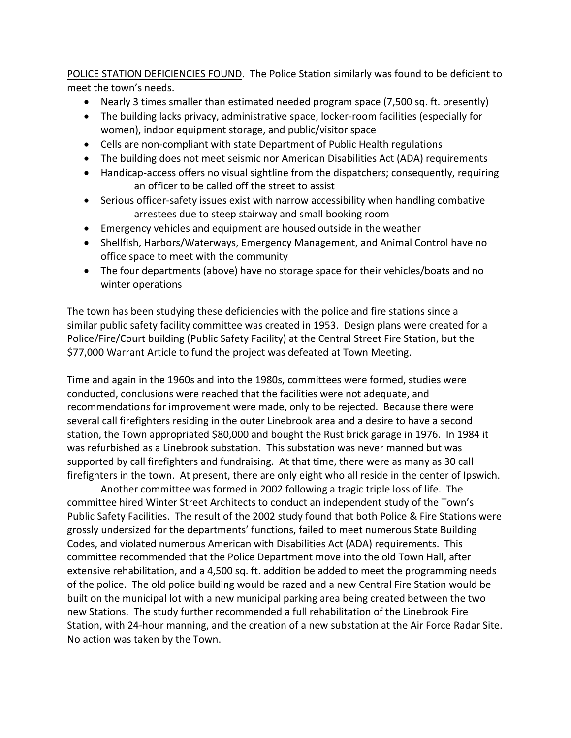POLICE STATION DEFICIENCIES FOUND. The Police Station similarly was found to be deficient to meet the town's needs.

- Nearly 3 times smaller than estimated needed program space (7,500 sq. ft. presently)
- The building lacks privacy, administrative space, locker-room facilities (especially for women), indoor equipment storage, and public/visitor space
- Cells are non-compliant with state Department of Public Health regulations
- The building does not meet seismic nor American Disabilities Act (ADA) requirements
- Handicap-access offers no visual sightline from the dispatchers; consequently, requiring an officer to be called off the street to assist
- Serious officer-safety issues exist with narrow accessibility when handling combative arrestees due to steep stairway and small booking room
- Emergency vehicles and equipment are housed outside in the weather
- Shellfish, Harbors/Waterways, Emergency Management, and Animal Control have no office space to meet with the community
- The four departments (above) have no storage space for their vehicles/boats and no winter operations

The town has been studying these deficiencies with the police and fire stations since a similar public safety facility committee was created in 1953. Design plans were created for a Police/Fire/Court building (Public Safety Facility) at the Central Street Fire Station, but the \$77,000 Warrant Article to fund the project was defeated at Town Meeting.

Time and again in the 1960s and into the 1980s, committees were formed, studies were conducted, conclusions were reached that the facilities were not adequate, and recommendations for improvement were made, only to be rejected. Because there were several call firefighters residing in the outer Linebrook area and a desire to have a second station, the Town appropriated \$80,000 and bought the Rust brick garage in 1976. In 1984 it was refurbished as a Linebrook substation. This substation was never manned but was supported by call firefighters and fundraising. At that time, there were as many as 30 call firefighters in the town. At present, there are only eight who all reside in the center of Ipswich.

Another committee was formed in 2002 following a tragic triple loss of life. The committee hired Winter Street Architects to conduct an independent study of the Town's Public Safety Facilities. The result of the 2002 study found that both Police & Fire Stations were grossly undersized for the departments' functions, failed to meet numerous State Building Codes, and violated numerous American with Disabilities Act (ADA) requirements. This committee recommended that the Police Department move into the old Town Hall, after extensive rehabilitation, and a 4,500 sq. ft. addition be added to meet the programming needs of the police. The old police building would be razed and a new Central Fire Station would be built on the municipal lot with a new municipal parking area being created between the two new Stations. The study further recommended a full rehabilitation of the Linebrook Fire Station, with 24-hour manning, and the creation of a new substation at the Air Force Radar Site. No action was taken by the Town.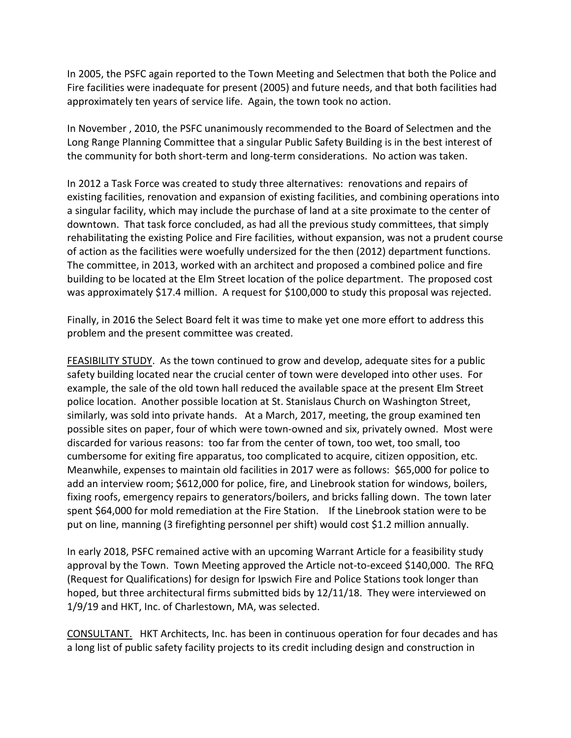In 2005, the PSFC again reported to the Town Meeting and Selectmen that both the Police and Fire facilities were inadequate for present (2005) and future needs, and that both facilities had approximately ten years of service life. Again, the town took no action.

In November , 2010, the PSFC unanimously recommended to the Board of Selectmen and the Long Range Planning Committee that a singular Public Safety Building is in the best interest of the community for both short-term and long-term considerations. No action was taken.

In 2012 a Task Force was created to study three alternatives: renovations and repairs of existing facilities, renovation and expansion of existing facilities, and combining operations into a singular facility, which may include the purchase of land at a site proximate to the center of downtown. That task force concluded, as had all the previous study committees, that simply rehabilitating the existing Police and Fire facilities, without expansion, was not a prudent course of action as the facilities were woefully undersized for the then (2012) department functions. The committee, in 2013, worked with an architect and proposed a combined police and fire building to be located at the Elm Street location of the police department. The proposed cost was approximately \$17.4 million. A request for \$100,000 to study this proposal was rejected.

Finally, in 2016 the Select Board felt it was time to make yet one more effort to address this problem and the present committee was created.

FEASIBILITY STUDY. As the town continued to grow and develop, adequate sites for a public safety building located near the crucial center of town were developed into other uses. For example, the sale of the old town hall reduced the available space at the present Elm Street police location. Another possible location at St. Stanislaus Church on Washington Street, similarly, was sold into private hands. At a March, 2017, meeting, the group examined ten possible sites on paper, four of which were town-owned and six, privately owned. Most were discarded for various reasons: too far from the center of town, too wet, too small, too cumbersome for exiting fire apparatus, too complicated to acquire, citizen opposition, etc. Meanwhile, expenses to maintain old facilities in 2017 were as follows: \$65,000 for police to add an interview room; \$612,000 for police, fire, and Linebrook station for windows, boilers, fixing roofs, emergency repairs to generators/boilers, and bricks falling down. The town later spent \$64,000 for mold remediation at the Fire Station. If the Linebrook station were to be put on line, manning (3 firefighting personnel per shift) would cost \$1.2 million annually.

In early 2018, PSFC remained active with an upcoming Warrant Article for a feasibility study approval by the Town. Town Meeting approved the Article not-to-exceed \$140,000. The RFQ (Request for Qualifications) for design for Ipswich Fire and Police Stations took longer than hoped, but three architectural firms submitted bids by 12/11/18. They were interviewed on 1/9/19 and HKT, Inc. of Charlestown, MA, was selected.

CONSULTANT. HKT Architects, Inc. has been in continuous operation for four decades and has a long list of public safety facility projects to its credit including design and construction in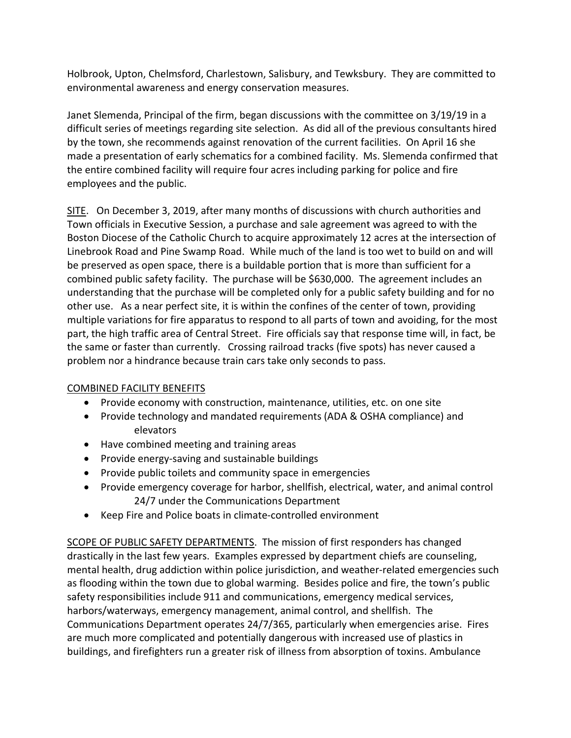Holbrook, Upton, Chelmsford, Charlestown, Salisbury, and Tewksbury. They are committed to environmental awareness and energy conservation measures.

Janet Slemenda, Principal of the firm, began discussions with the committee on 3/19/19 in a difficult series of meetings regarding site selection. As did all of the previous consultants hired by the town, she recommends against renovation of the current facilities. On April 16 she made a presentation of early schematics for a combined facility. Ms. Slemenda confirmed that the entire combined facility will require four acres including parking for police and fire employees and the public.

SITE. On December 3, 2019, after many months of discussions with church authorities and Town officials in Executive Session, a purchase and sale agreement was agreed to with the Boston Diocese of the Catholic Church to acquire approximately 12 acres at the intersection of Linebrook Road and Pine Swamp Road. While much of the land is too wet to build on and will be preserved as open space, there is a buildable portion that is more than sufficient for a combined public safety facility. The purchase will be \$630,000. The agreement includes an understanding that the purchase will be completed only for a public safety building and for no other use. As a near perfect site, it is within the confines of the center of town, providing multiple variations for fire apparatus to respond to all parts of town and avoiding, for the most part, the high traffic area of Central Street. Fire officials say that response time will, in fact, be the same or faster than currently. Crossing railroad tracks (five spots) has never caused a problem nor a hindrance because train cars take only seconds to pass.

## COMBINED FACILITY BENEFITS

- Provide economy with construction, maintenance, utilities, etc. on one site
- Provide technology and mandated requirements (ADA & OSHA compliance) and elevators
- Have combined meeting and training areas
- Provide energy-saving and sustainable buildings
- Provide public toilets and community space in emergencies
- Provide emergency coverage for harbor, shellfish, electrical, water, and animal control 24/7 under the Communications Department
- Keep Fire and Police boats in climate-controlled environment

SCOPE OF PUBLIC SAFETY DEPARTMENTS. The mission of first responders has changed drastically in the last few years. Examples expressed by department chiefs are counseling, mental health, drug addiction within police jurisdiction, and weather-related emergencies such as flooding within the town due to global warming. Besides police and fire, the town's public safety responsibilities include 911 and communications, emergency medical services, harbors/waterways, emergency management, animal control, and shellfish. The Communications Department operates 24/7/365, particularly when emergencies arise. Fires are much more complicated and potentially dangerous with increased use of plastics in buildings, and firefighters run a greater risk of illness from absorption of toxins. Ambulance